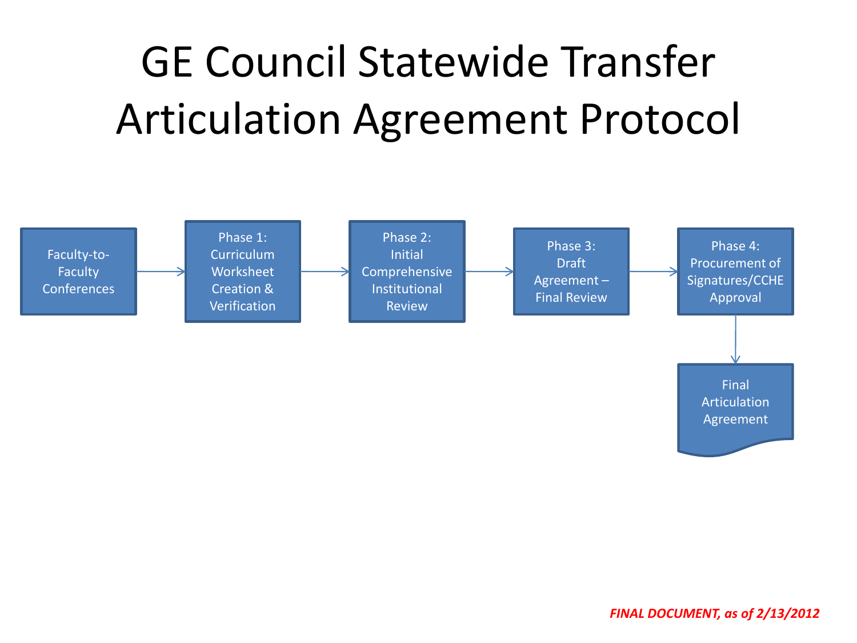# GE Council Statewide Transfer Articulation Agreement Protocol

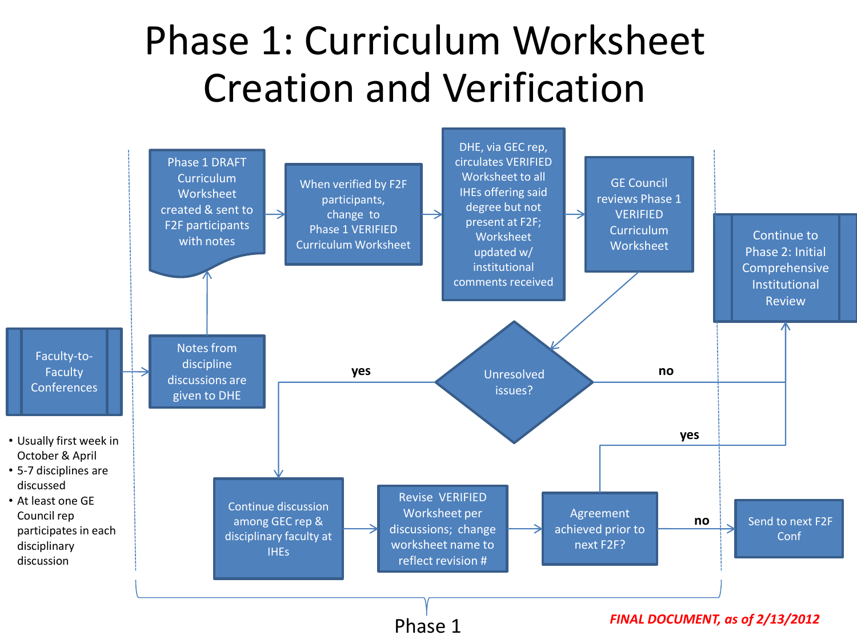## Phase 1: Curriculum Worksheet Creation and Verification

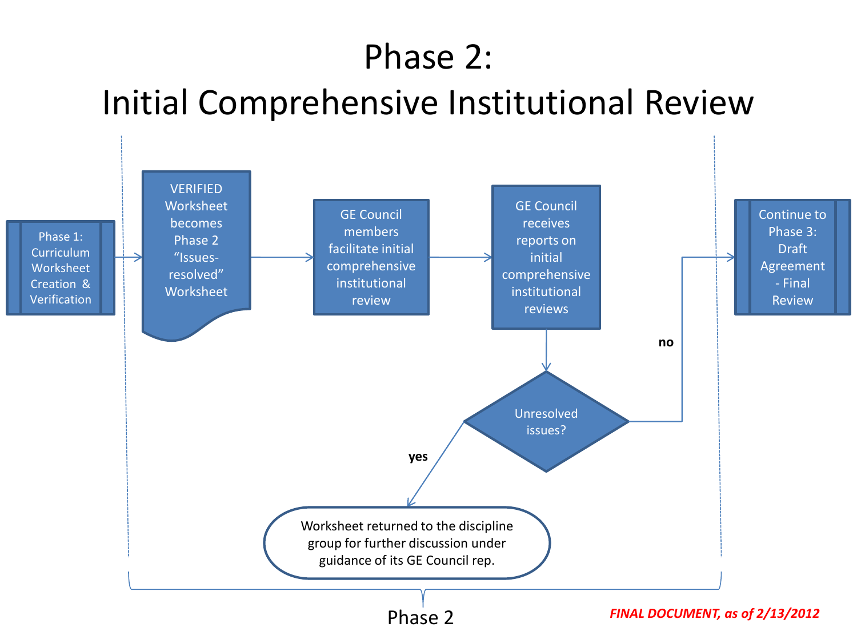#### Phase 2:

#### Initial Comprehensive Institutional Review

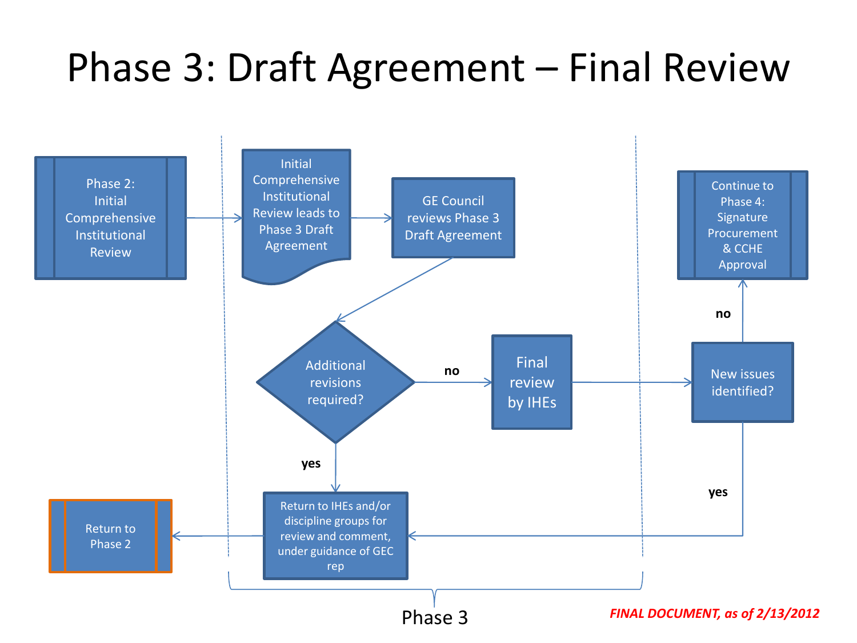### Phase 3: Draft Agreement – Final Review